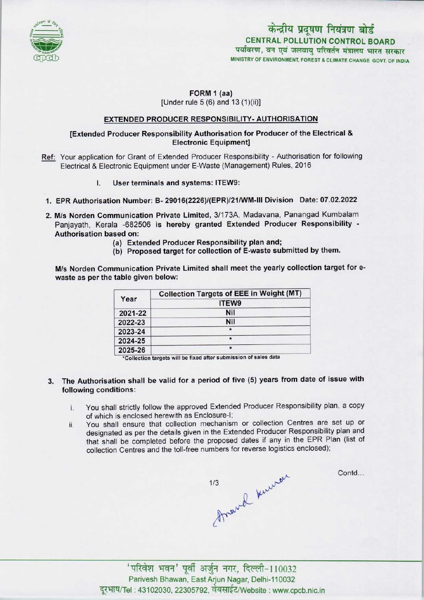

# FORM 1 (aa)

[Under rule  $5(6)$  and  $13(1)(ii)$ ]

# EXTENDED PRODUCER RESPONSIBILITY- AUTHORISATION

# [Extended Producer Responsibility Authorisation for Producer of the Electrical & Electronic Equipment]

- Ref: Your application for Grant of Extended Producer Responsibility Authorisation for following Electrical & Electronic Equipment under E-Waste (Management) Rules, 2016
	- I. User terminals and systems: ITEW9:
- 1.EPR Authorisation Number: B- 29016(2226)/(EPR)/21/WM-lll Division Date: 07.02.2022
- 2.M/s Norden Communication Private Limited, 3/173A, Madavana, Panangad Kumbalam Panjayath, Kerala -682506 is hereby granted Extended Producer Responsibility - Authorisation based on:
	- (a)Extended Producer Responsibility plan and;
	- (b) Proposed target for collection of E-waste submitted by them.

M/s Norden Communication Private Limited shall meet the yearly collection target for ewaste as per the table given below:

| Year    | <b>Collection Targets of EEE in Weight (MT)</b> |
|---------|-------------------------------------------------|
|         | ITEW9                                           |
| 2021-22 | Nil                                             |
| 2022-23 | Nil                                             |
| 2023-24 | $\star$                                         |
| 2024-25 | $\star$                                         |
| 2025-26 | $\star$                                         |

\*Collection targets will be fixed after submission of sales data

- 3. The Authorisation shall be valid for a period of five (5) years from date of issue with following conditions:
	- i. You shall strictly follow the approved Extended Producer Responsibility plan, a copy of which is enclosed herewith as Enclosure-I;
	- ii. You shall ensure that collection mechanism or collection Centres are set up or designated as per the details given in the Extended Producer Responsibility plan and that shall be completed before the proposed dates if any in the EPR Plan (list of collection Centres and the toll-free numbers for reverse logistics enclosed);



Contd...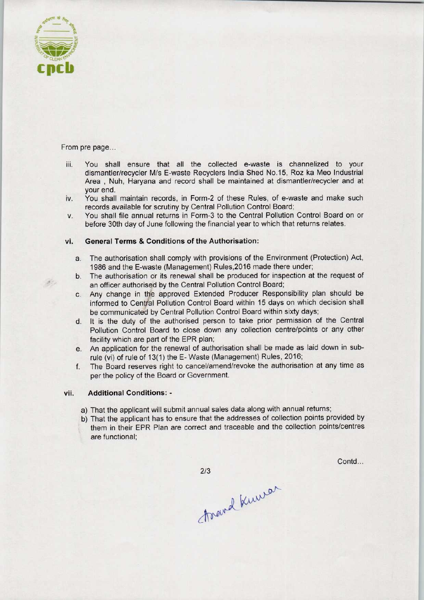

 $\mathcal{F}^{\mathcal{C}}$  .

#### From pre page...

- iii. You shall ensure that all the collected e-waste is channelized to your dismantler/recycler M/s E-waste Recyclers India Shed No.15, Roz ka Meo Industrial Area , Nuh, Haryana and record shall be maintained at dismantler/recycler and at your end.
- iv. You shall maintain records, in Form-2 of these Rules, of e-waste and make such records available for scrutiny by Central Pollution Control Board;
- v. You shall file annual returns in Form-3 to the Central Pollution Control Board on or before 30th day of June following the financial year to which that returns relates.

## vi. General Terms & Conditions of the Authorisation:

- a. The authorisation shall comply with provisions of the Environment (Protection) Act, 1986 and the E-waste (Management) Rules,2016 made there under;
- b. The authorisation or its renewal shall be produced for inspection at the request of an officer authorised by the Central Pollution Control Board;
- c. Any change in the approved Extended Producer Responsibility plan should be informed to Central Pollution Control Board within 15 days on which decision shall be communicated by Central Pollution Control Board within sixty days;
- d. It is the duty of the authorised person to take prior permission of the Central Pollution Control Board to close down any collection centre/points or any other facility which are part of the EPR plan;
- e. An application for the renewal of authorisation shall be made as laid down in subrule (vi) of rule of 13(1) the E-Waste (Management) Rules, 2016;
- f.The Board reserves right to cancel/amend/revoke the authorisation at any time as per the policy of the Board or Government.

## vii. Additional Conditions: -

- a) That the applicant will submit annual sales data along with annual returns;
- b)That the applicant has to ensure that the addresses of collection points provided by them in their EPR Plan are correct and traceable and the collection points/centres are functional;

Contd...

 $2/3$ 

travel knewar